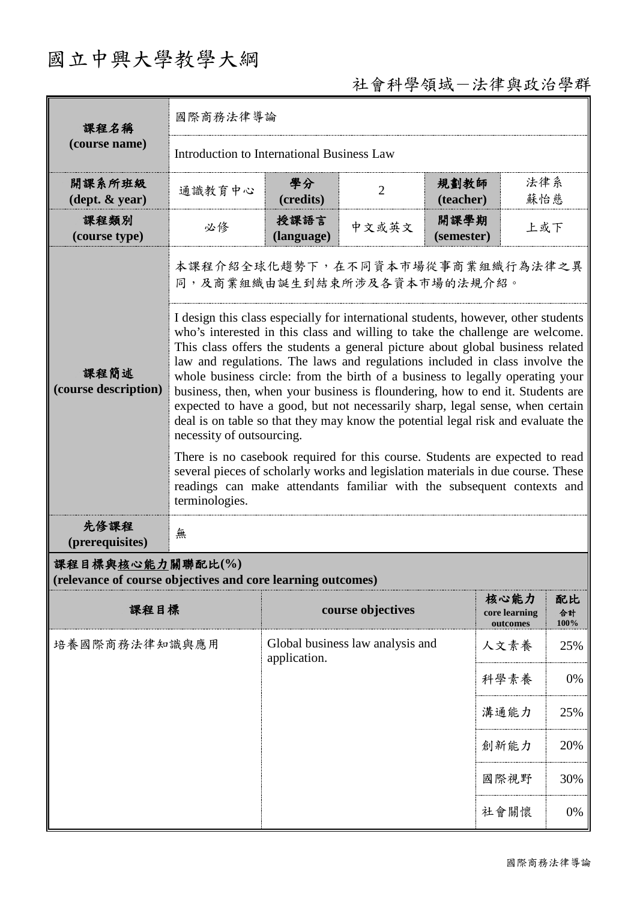## 國立中興大學教學大綱

## 社會科學領域-法律與政治學群

| 課程名稱<br>(course name)                                                           | 國際商務法律導論                                                                                                                                                                                                                                                                                                                                                                                                                                                                                                                                                                                                                                                                                                                                                                                                                                                                                                                                                                  |                                                  |                   |                    |                                   |                  |  |
|---------------------------------------------------------------------------------|---------------------------------------------------------------------------------------------------------------------------------------------------------------------------------------------------------------------------------------------------------------------------------------------------------------------------------------------------------------------------------------------------------------------------------------------------------------------------------------------------------------------------------------------------------------------------------------------------------------------------------------------------------------------------------------------------------------------------------------------------------------------------------------------------------------------------------------------------------------------------------------------------------------------------------------------------------------------------|--------------------------------------------------|-------------------|--------------------|-----------------------------------|------------------|--|
|                                                                                 | Introduction to International Business Law                                                                                                                                                                                                                                                                                                                                                                                                                                                                                                                                                                                                                                                                                                                                                                                                                                                                                                                                |                                                  |                   |                    |                                   |                  |  |
| 開課系所班級<br>$(\text{dept. } \& \text{ year})$                                     | 通識教育中心                                                                                                                                                                                                                                                                                                                                                                                                                                                                                                                                                                                                                                                                                                                                                                                                                                                                                                                                                                    | 學分<br>(credits)                                  | $\overline{2}$    | 規劃教師<br>(teacher)  | 法律系<br>蘇怡慈                        |                  |  |
| 課程類別<br>(course type)                                                           | 必修                                                                                                                                                                                                                                                                                                                                                                                                                                                                                                                                                                                                                                                                                                                                                                                                                                                                                                                                                                        | 授課語言<br>(language)                               | 中文或英文             | 開課學期<br>(semester) | 上或下                               |                  |  |
|                                                                                 | 本課程介紹全球化趨勢下,在不同資本市場從事商業組織行為法律之異<br>同,及商業組織由誕生到結束所涉及各資本市場的法規介紹。                                                                                                                                                                                                                                                                                                                                                                                                                                                                                                                                                                                                                                                                                                                                                                                                                                                                                                            |                                                  |                   |                    |                                   |                  |  |
| 課程簡述<br>(course description)                                                    | I design this class especially for international students, however, other students<br>who's interested in this class and willing to take the challenge are welcome.<br>This class offers the students a general picture about global business related<br>law and regulations. The laws and regulations included in class involve the<br>whole business circle: from the birth of a business to legally operating your<br>business, then, when your business is floundering, how to end it. Students are<br>expected to have a good, but not necessarily sharp, legal sense, when certain<br>deal is on table so that they may know the potential legal risk and evaluate the<br>necessity of outsourcing.<br>There is no casebook required for this course. Students are expected to read<br>several pieces of scholarly works and legislation materials in due course. These<br>readings can make attendants familiar with the subsequent contexts and<br>terminologies. |                                                  |                   |                    |                                   |                  |  |
| 先修課程<br>(prerequisites)                                                         | 無                                                                                                                                                                                                                                                                                                                                                                                                                                                                                                                                                                                                                                                                                                                                                                                                                                                                                                                                                                         |                                                  |                   |                    |                                   |                  |  |
| 課程目標與核心能力關聯配比(%)<br>(relevance of course objectives and core learning outcomes) |                                                                                                                                                                                                                                                                                                                                                                                                                                                                                                                                                                                                                                                                                                                                                                                                                                                                                                                                                                           |                                                  |                   |                    |                                   |                  |  |
| 課程目標                                                                            |                                                                                                                                                                                                                                                                                                                                                                                                                                                                                                                                                                                                                                                                                                                                                                                                                                                                                                                                                                           |                                                  | course objectives |                    | 核心能力<br>core learning<br>outcomes | 配比<br>合計<br>100% |  |
| 培養國際商務法律知識與應用                                                                   |                                                                                                                                                                                                                                                                                                                                                                                                                                                                                                                                                                                                                                                                                                                                                                                                                                                                                                                                                                           | Global business law analysis and<br>application. |                   | 人文素養               | 25%                               |                  |  |
|                                                                                 |                                                                                                                                                                                                                                                                                                                                                                                                                                                                                                                                                                                                                                                                                                                                                                                                                                                                                                                                                                           |                                                  |                   | 科學素養               | 0%                                |                  |  |
|                                                                                 |                                                                                                                                                                                                                                                                                                                                                                                                                                                                                                                                                                                                                                                                                                                                                                                                                                                                                                                                                                           |                                                  |                   |                    | 溝通能力                              | 25%              |  |
|                                                                                 |                                                                                                                                                                                                                                                                                                                                                                                                                                                                                                                                                                                                                                                                                                                                                                                                                                                                                                                                                                           |                                                  |                   |                    | 創新能力                              | 20%              |  |
|                                                                                 |                                                                                                                                                                                                                                                                                                                                                                                                                                                                                                                                                                                                                                                                                                                                                                                                                                                                                                                                                                           |                                                  |                   |                    | 國際視野                              | 30%              |  |
|                                                                                 |                                                                                                                                                                                                                                                                                                                                                                                                                                                                                                                                                                                                                                                                                                                                                                                                                                                                                                                                                                           |                                                  |                   |                    | 社會關懷                              | 0%               |  |